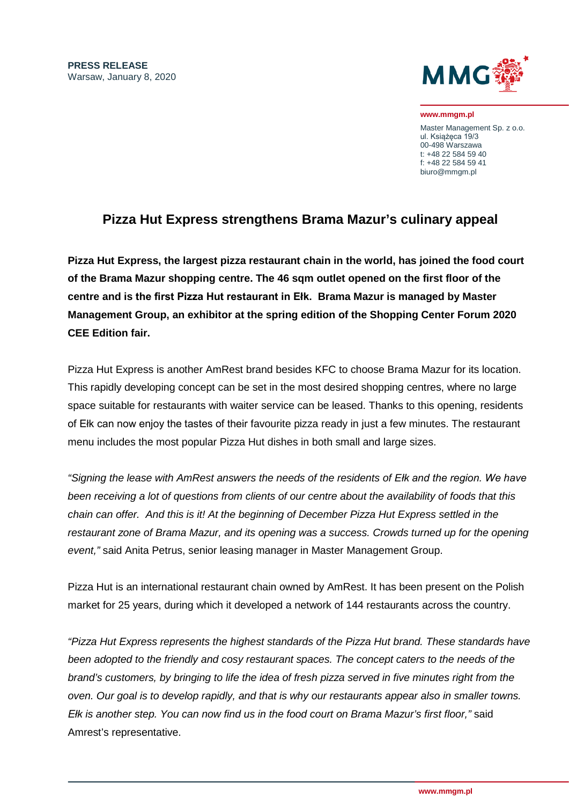

**www.mmgm.pl**

Master Management Sp. z o.o. ul. Książęca 19/3 00-498 Warszawa t: +48 22 584 59 40 f: +48 22 584 59 41 biuro@mmgm.pl

## **Pizza Hut Express strengthens Brama Mazur's culinary appeal**

**Pizza Hut Express, the largest pizza restaurant chain in the world, has joined the food court of the Brama Mazur shopping centre. The 46 sqm outlet opened on the first floor of the centre and is the first Pizza Hut restaurant in Ełk. Brama Mazur is managed by Master Management Group, an exhibitor at the spring edition of the Shopping Center Forum 2020 CEE Edition fair.** 

Pizza Hut Express is another AmRest brand besides KFC to choose Brama Mazur for its location. This rapidly developing concept can be set in the most desired shopping centres, where no large space suitable for restaurants with waiter service can be leased. Thanks to this opening, residents of Ełk can now enjoy the tastes of their favourite pizza ready in just a few minutes. The restaurant menu includes the most popular Pizza Hut dishes in both small and large sizes.

*"Signing the lease with AmRest answers the needs of the residents of Ełk and the region. We have been receiving a lot of questions from clients of our centre about the availability of foods that this chain can offer. And this is it! At the beginning of December Pizza Hut Express settled in the restaurant zone of Brama Mazur, and its opening was a success. Crowds turned up for the opening event,"* said Anita Petrus, senior leasing manager in Master Management Group.

Pizza Hut is an international restaurant chain owned by AmRest. It has been present on the Polish market for 25 years, during which it developed a network of 144 restaurants across the country.

*"Pizza Hut Express represents the highest standards of the Pizza Hut brand. These standards have been adopted to the friendly and cosy restaurant spaces. The concept caters to the needs of the brand's customers, by bringing to life the idea of fresh pizza served in five minutes right from the oven. Our goal is to develop rapidly, and that is why our restaurants appear also in smaller towns. Ełk is another step. You can now find us in the food court on Brama Mazur's first floor,"* said Amrest's representative.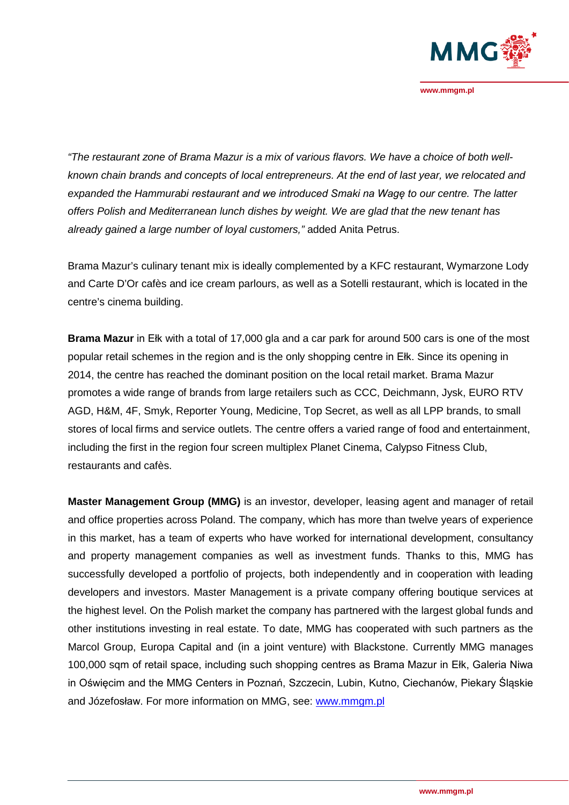

**www.mmgm.pl**

*"The restaurant zone of Brama Mazur is a mix of various flavors. We have a choice of both wellknown chain brands and concepts of local entrepreneurs. At the end of last year, we relocated and expanded the Hammurabi restaurant and we introduced Smaki na Wagę to our centre. The latter offers Polish and Mediterranean lunch dishes by weight. We are glad that the new tenant has already gained a large number of loyal customers,"* added Anita Petrus.

Brama Mazur's culinary tenant mix is ideally complemented by a KFC restaurant, Wymarzone Lody and Carte D'Or [cafès a](https://en.wiktionary.org/wiki/caff%C3%A8)nd ice cream parlours, as well as a Sotelli restaurant, which is located in the centre's cinema building.

**Brama Mazur** in Ełk with a total of 17,000 gla and a car park for around 500 cars is one of the most popular retail schemes in the region and is the only shopping centre in Ełk. Since its opening in 2014, the centre has reached the dominant position on the local retail market. Brama Mazur promotes a wide range of brands from large retailers such as CCC, Deichmann, Jysk, EURO RTV AGD, H&M, 4F, Smyk, Reporter Young, Medicine, Top Secret, as well as all LPP brands, to small stores of local firms and service outlets. The centre offers a varied range of food and entertainment, including the first in the region four screen multiplex Planet Cinema, Calypso Fitness Club, restaurants and cafès.

**Master Management Group (MMG)** is an investor, developer, leasing agent and manager of retail and office properties across Poland. The company, which has more than twelve years of experience in this market, has a team of experts who have worked for international development, consultancy and property management companies as well as investment funds. Thanks to this, MMG has successfully developed a portfolio of projects, both independently and in cooperation with leading developers and investors. Master Management is a private company offering boutique services at the highest level. On the Polish market the company has partnered with the largest global funds and other institutions investing in real estate. To date, MMG has cooperated with such partners as the Marcol Group, Europa Capital and (in a joint venture) with Blackstone. Currently MMG manages 100,000 sqm of retail space, including such shopping centres as Brama Mazur in Ełk, Galeria Niwa in Oświęcim and the MMG Centers in Poznań, Szczecin, Lubin, Kutno, Ciechanów, Piekary Śląskie and Józefosław. For more information on MMG, see: [www.mmgm.pl](http://www.mmgm.pl/)